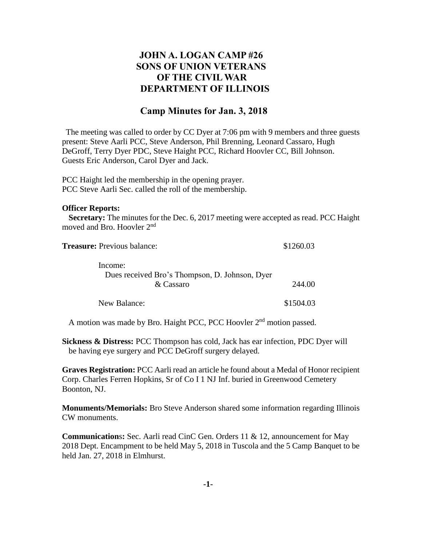## **JOHN A. LOGAN CAMP #26 SONS OF UNION VETERANS OF THE CIVIL WAR DEPARTMENT OF ILLINOIS**

## **Camp Minutes for Jan. 3, 2018**

The meeting was called to order by CC Dyer at 7:06 pm with 9 members and three guests present: Steve Aarli PCC, Steve Anderson, Phil Brenning, Leonard Cassaro, Hugh DeGroff, Terry Dyer PDC, Steve Haight PCC, Richard Hoovler CC, Bill Johnson. Guests Eric Anderson, Carol Dyer and Jack.

PCC Haight led the membership in the opening prayer. PCC Steve Aarli Sec. called the roll of the membership.

## **Officer Reports:**

 **Secretary:** The minutes for the Dec. 6, 2017 meeting were accepted as read. PCC Haight moved and Bro. Hoovler 2<sup>nd</sup>

| <b>Treasure:</b> Previous balance:                          | \$1260.03 |
|-------------------------------------------------------------|-----------|
| Income:                                                     |           |
| Dues received Bro's Thompson, D. Johnson, Dyer<br>& Cassaro | 244.00    |
|                                                             |           |
| New Balance:                                                | \$1504.03 |

A motion was made by Bro. Haight PCC, PCC Hoovler 2<sup>nd</sup> motion passed.

**Sickness & Distress:** PCC Thompson has cold, Jack has ear infection, PDC Dyer will be having eye surgery and PCC DeGroff surgery delayed.

**Graves Registration:** PCC Aarli read an article he found about a Medal of Honor recipient Corp. Charles Ferren Hopkins, Sr of Co I 1 NJ Inf. buried in Greenwood Cemetery Boonton, NJ.

**Monuments/Memorials:** Bro Steve Anderson shared some information regarding Illinois CW monuments.

**Communication**s**:** Sec. Aarli read CinC Gen. Orders 11 & 12, announcement for May 2018 Dept. Encampment to be held May 5, 2018 in Tuscola and the 5 Camp Banquet to be held Jan. 27, 2018 in Elmhurst.